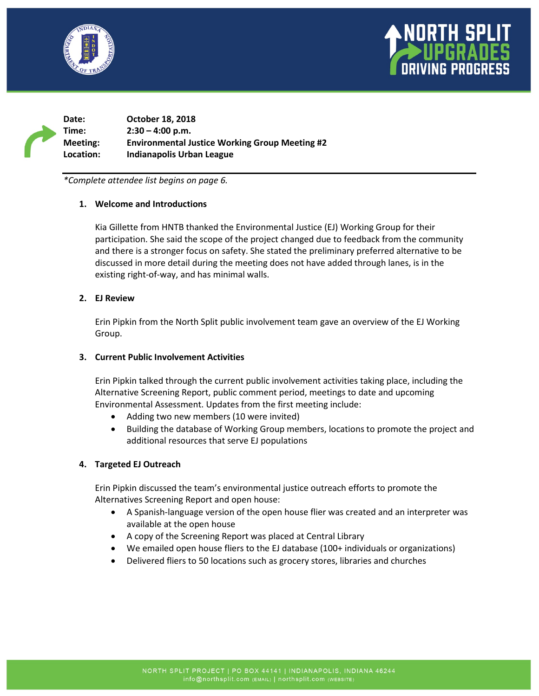



**Date: October 18, 2018 Time: 2:30 – 4:00 p.m. Meeting: Environmental Justice Working Group Meeting #2 Location: Indianapolis Urban League**

*\*Complete attendee list begins on page 6.*

#### **1. Welcome and Introductions**

Kia Gillette from HNTB thanked the Environmental Justice (EJ) Working Group for their participation. She said the scope of the project changed due to feedback from the community and there is a stronger focus on safety. She stated the preliminary preferred alternative to be discussed in more detail during the meeting does not have added through lanes, is in the existing right-of-way, and has minimal walls.

### **2. EJ Review**

Erin Pipkin from the North Split public involvement team gave an overview of the EJ Working Group.

### **3. Current Public Involvement Activities**

Erin Pipkin talked through the current public involvement activities taking place, including the Alternative Screening Report, public comment period, meetings to date and upcoming Environmental Assessment. Updates from the first meeting include:

- Adding two new members (10 were invited)
- Building the database of Working Group members, locations to promote the project and additional resources that serve EJ populations

#### **4. Targeted EJ Outreach**

Erin Pipkin discussed the team's environmental justice outreach efforts to promote the Alternatives Screening Report and open house:

- A Spanish-language version of the open house flier was created and an interpreter was available at the open house
- A copy of the Screening Report was placed at Central Library
- We emailed open house fliers to the EJ database (100+ individuals or organizations)
- Delivered fliers to 50 locations such as grocery stores, libraries and churches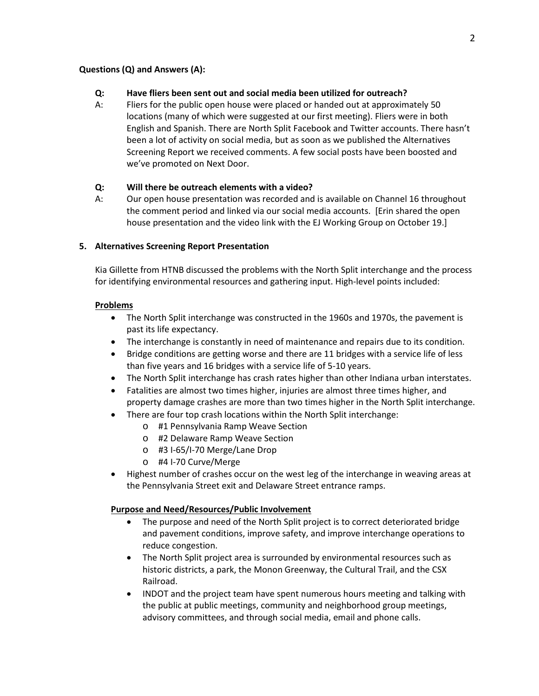### **Questions (Q) and Answers (A):**

### **Q: Have fliers been sent out and social media been utilized for outreach?**

A: Fliers for the public open house were placed or handed out at approximately 50 locations (many of which were suggested at our first meeting). Fliers were in both English and Spanish. There are North Split Facebook and Twitter accounts. There hasn't been a lot of activity on social media, but as soon as we published the Alternatives Screening Report we received comments. A few social posts have been boosted and we've promoted on Next Door.

### **Q: Will there be outreach elements with a video?**

A: Our open house presentation was recorded and is available on Channel 16 throughout the comment period and linked via our social media accounts. [Erin shared the open house presentation and the video link with the EJ Working Group on October 19.]

### **5. Alternatives Screening Report Presentation**

Kia Gillette from HTNB discussed the problems with the North Split interchange and the process for identifying environmental resources and gathering input. High-level points included:

#### **Problems**

- The North Split interchange was constructed in the 1960s and 1970s, the pavement is past its life expectancy.
- The interchange is constantly in need of maintenance and repairs due to its condition.
- Bridge conditions are getting worse and there are 11 bridges with a service life of less than five years and 16 bridges with a service life of 5-10 years.
- The North Split interchange has crash rates higher than other Indiana urban interstates.
- Fatalities are almost two times higher, injuries are almost three times higher, and property damage crashes are more than two times higher in the North Split interchange.
- There are four top crash locations within the North Split interchange:
	- o #1 Pennsylvania Ramp Weave Section
	- o #2 Delaware Ramp Weave Section
	- o #3 I-65/I-70 Merge/Lane Drop
	- o #4 I-70 Curve/Merge
- Highest number of crashes occur on the west leg of the interchange in weaving areas at the Pennsylvania Street exit and Delaware Street entrance ramps.

### **Purpose and Need/Resources/Public Involvement**

- The purpose and need of the North Split project is to correct deteriorated bridge and pavement conditions, improve safety, and improve interchange operations to reduce congestion.
- The North Split project area is surrounded by environmental resources such as historic districts, a park, the Monon Greenway, the Cultural Trail, and the CSX Railroad.
- INDOT and the project team have spent numerous hours meeting and talking with the public at public meetings, community and neighborhood group meetings, advisory committees, and through social media, email and phone calls.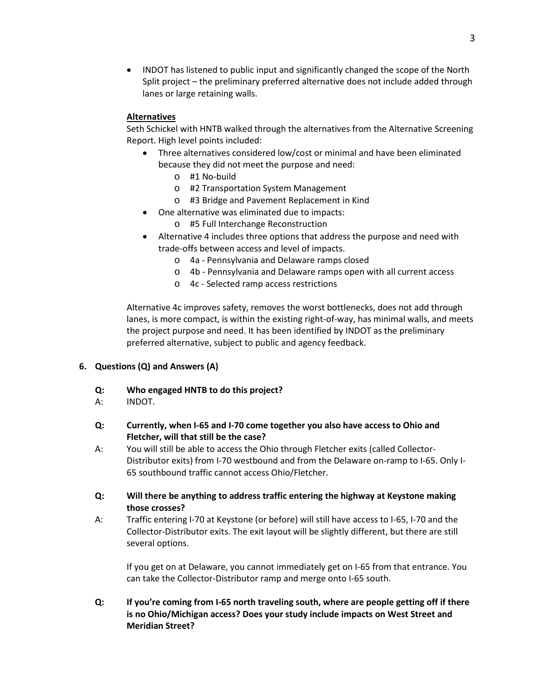• INDOT has listened to public input and significantly changed the scope of the North Split project – the preliminary preferred alternative does not include added through lanes or large retaining walls.

# **Alternatives**

Seth Schickel with HNTB walked through the alternatives from the Alternative Screening Report. High level points included:

- Three alternatives considered low/cost or minimal and have been eliminated because they did not meet the purpose and need:
	- o #1 No-build
	- o #2 Transportation System Management
	- o #3 Bridge and Pavement Replacement in Kind
- One alternative was eliminated due to impacts:
	- o #5 Full Interchange Reconstruction
- Alternative 4 includes three options that address the purpose and need with trade-offs between access and level of impacts.
	- o 4a Pennsylvania and Delaware ramps closed
	- o 4b Pennsylvania and Delaware ramps open with all current access
	- o 4c Selected ramp access restrictions

Alternative 4c improves safety, removes the worst bottlenecks, does not add through lanes, is more compact, is within the existing right-of-way, has minimal walls, and meets the project purpose and need. It has been identified by INDOT as the preliminary preferred alternative, subject to public and agency feedback.

### **6. Questions (Q) and Answers (A)**

### **Q: Who engaged HNTB to do this project?**

- A: INDOT.
- **Q: Currently, when I-65 and I-70 come together you also have access to Ohio and Fletcher, will that still be the case?**
- A: You will still be able to access the Ohio through Fletcher exits (called Collector-Distributor exits) from I-70 westbound and from the Delaware on-ramp to I-65. Only I-65 southbound traffic cannot access Ohio/Fletcher.
- **Q: Will there be anything to address traffic entering the highway at Keystone making those crosses?**
- A: Traffic entering I-70 at Keystone (or before) will still have access to I-65, I-70 and the Collector-Distributor exits. The exit layout will be slightly different, but there are still several options.

If you get on at Delaware, you cannot immediately get on I-65 from that entrance. You can take the Collector-Distributor ramp and merge onto I-65 south.

**Q: If you're coming from I-65 north traveling south, where are people getting off if there is no Ohio/Michigan access? Does your study include impacts on West Street and Meridian Street?**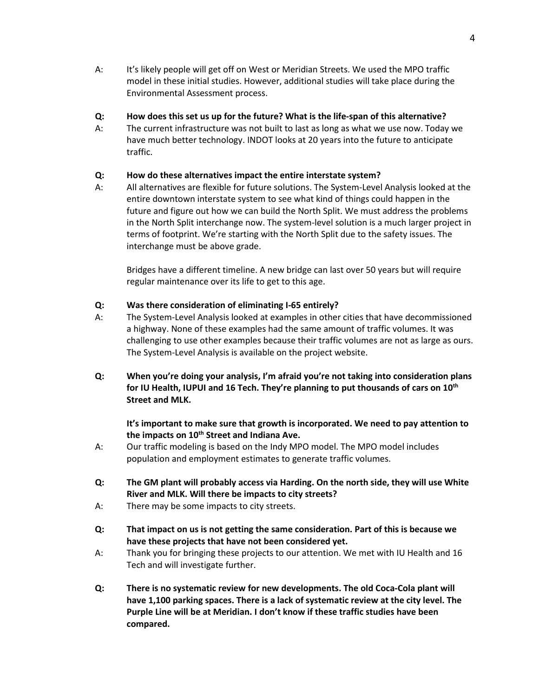A: It's likely people will get off on West or Meridian Streets. We used the MPO traffic model in these initial studies. However, additional studies will take place during the Environmental Assessment process.

# **Q: How does this set us up for the future? What is the life-span of this alternative?**

A: The current infrastructure was not built to last as long as what we use now. Today we have much better technology. INDOT looks at 20 years into the future to anticipate traffic.

# **Q: How do these alternatives impact the entire interstate system?**

A: All alternatives are flexible for future solutions. The System-Level Analysis looked at the entire downtown interstate system to see what kind of things could happen in the future and figure out how we can build the North Split. We must address the problems in the North Split interchange now. The system-level solution is a much larger project in terms of footprint. We're starting with the North Split due to the safety issues. The interchange must be above grade.

Bridges have a different timeline. A new bridge can last over 50 years but will require regular maintenance over its life to get to this age.

# **Q: Was there consideration of eliminating I-65 entirely?**

- A: The System-Level Analysis looked at examples in other cities that have decommissioned a highway. None of these examples had the same amount of traffic volumes. It was challenging to use other examples because their traffic volumes are not as large as ours. The System-Level Analysis is available on the project website.
- **Q: When you're doing your analysis, I'm afraid you're not taking into consideration plans for IU Health, IUPUI and 16 Tech. They're planning to put thousands of cars on 10th Street and MLK.**

# **It's important to make sure that growth is incorporated. We need to pay attention to**  the impacts on 10<sup>th</sup> Street and Indiana Ave.

- A: Our traffic modeling is based on the Indy MPO model. The MPO model includes population and employment estimates to generate traffic volumes.
- **Q: The GM plant will probably access via Harding. On the north side, they will use White River and MLK. Will there be impacts to city streets?**
- A: There may be some impacts to city streets.
- **Q: That impact on us is not getting the same consideration. Part of this is because we have these projects that have not been considered yet.**
- A: Thank you for bringing these projects to our attention. We met with IU Health and 16 Tech and will investigate further.
- **Q: There is no systematic review for new developments. The old Coca-Cola plant will have 1,100 parking spaces. There is a lack of systematic review at the city level. The Purple Line will be at Meridian. I don't know if these traffic studies have been compared.**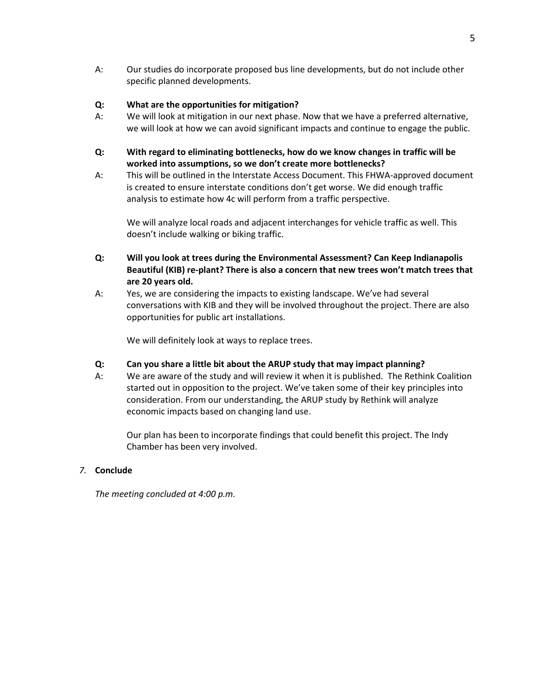A: Our studies do incorporate proposed bus line developments, but do not include other specific planned developments.

#### **Q: What are the opportunities for mitigation?**

- A: We will look at mitigation in our next phase. Now that we have a preferred alternative, we will look at how we can avoid significant impacts and continue to engage the public.
- **Q: With regard to eliminating bottlenecks, how do we know changes in traffic will be worked into assumptions, so we don't create more bottlenecks?**
- A: This will be outlined in the Interstate Access Document. This FHWA-approved document is created to ensure interstate conditions don't get worse. We did enough traffic analysis to estimate how 4c will perform from a traffic perspective.

We will analyze local roads and adjacent interchanges for vehicle traffic as well. This doesn't include walking or biking traffic.

- **Q: Will you look at trees during the Environmental Assessment? Can Keep Indianapolis Beautiful (KIB) re-plant? There is also a concern that new trees won't match trees that are 20 years old.**
- A: Yes, we are considering the impacts to existing landscape. We've had several conversations with KIB and they will be involved throughout the project. There are also opportunities for public art installations.

We will definitely look at ways to replace trees.

#### **Q: Can you share a little bit about the ARUP study that may impact planning?**

A: We are aware of the study and will review it when it is published. The Rethink Coalition started out in opposition to the project. We've taken some of their key principles into consideration. From our understanding, the ARUP study by Rethink will analyze economic impacts based on changing land use.

Our plan has been to incorporate findings that could benefit this project. The Indy Chamber has been very involved.

# *7.* **Conclude**

*The meeting concluded at 4:00 p.m.*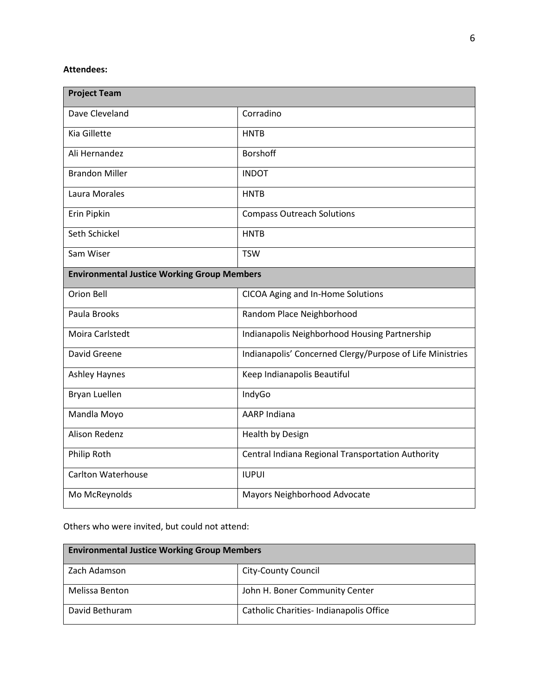# **Attendees:**

| <b>Project Team</b>                                |                                                           |  |
|----------------------------------------------------|-----------------------------------------------------------|--|
| Dave Cleveland                                     | Corradino                                                 |  |
| Kia Gillette                                       | <b>HNTB</b>                                               |  |
| Ali Hernandez                                      | <b>Borshoff</b>                                           |  |
| <b>Brandon Miller</b>                              | <b>INDOT</b>                                              |  |
| Laura Morales                                      | <b>HNTB</b>                                               |  |
| Erin Pipkin                                        | <b>Compass Outreach Solutions</b>                         |  |
| Seth Schickel                                      | <b>HNTB</b>                                               |  |
| Sam Wiser                                          | <b>TSW</b>                                                |  |
| <b>Environmental Justice Working Group Members</b> |                                                           |  |
| Orion Bell                                         | CICOA Aging and In-Home Solutions                         |  |
| Paula Brooks                                       | Random Place Neighborhood                                 |  |
| Moira Carlstedt                                    | Indianapolis Neighborhood Housing Partnership             |  |
| <b>David Greene</b>                                | Indianapolis' Concerned Clergy/Purpose of Life Ministries |  |
| <b>Ashley Haynes</b>                               | Keep Indianapolis Beautiful                               |  |
| Bryan Luellen                                      | IndyGo                                                    |  |
| Mandla Moyo                                        | <b>AARP Indiana</b>                                       |  |
| <b>Alison Redenz</b>                               | Health by Design                                          |  |
| Philip Roth                                        | Central Indiana Regional Transportation Authority         |  |
| <b>Carlton Waterhouse</b>                          | <b>IUPUI</b>                                              |  |
| Mo McReynolds                                      | Mayors Neighborhood Advocate                              |  |

Others who were invited, but could not attend:

| <b>Environmental Justice Working Group Members</b> |                                        |
|----------------------------------------------------|----------------------------------------|
| Zach Adamson                                       | <b>City-County Council</b>             |
| Melissa Benton                                     | John H. Boner Community Center         |
| David Bethuram                                     | Catholic Charities-Indianapolis Office |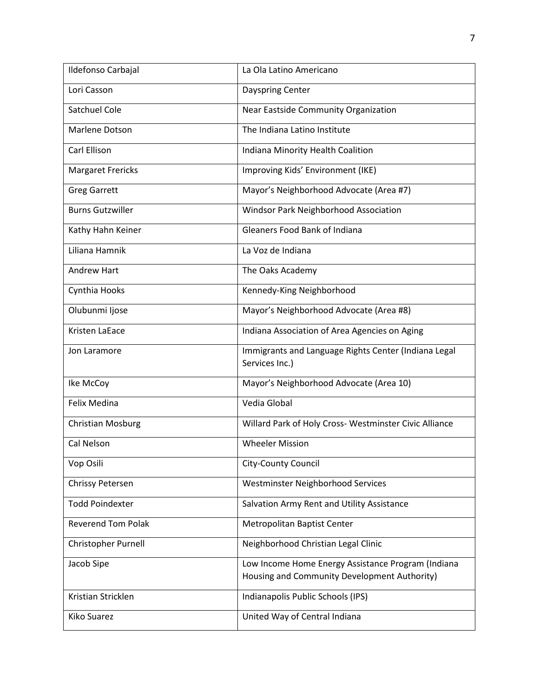| Ildefonso Carbajal         | La Ola Latino Americano                                                                            |
|----------------------------|----------------------------------------------------------------------------------------------------|
| Lori Casson                | Dayspring Center                                                                                   |
| Satchuel Cole              | Near Eastside Community Organization                                                               |
| Marlene Dotson             | The Indiana Latino Institute                                                                       |
| Carl Ellison               | Indiana Minority Health Coalition                                                                  |
| <b>Margaret Frericks</b>   | Improving Kids' Environment (IKE)                                                                  |
| <b>Greg Garrett</b>        | Mayor's Neighborhood Advocate (Area #7)                                                            |
| <b>Burns Gutzwiller</b>    | Windsor Park Neighborhood Association                                                              |
| Kathy Hahn Keiner          | <b>Gleaners Food Bank of Indiana</b>                                                               |
| Liliana Hamnik             | La Voz de Indiana                                                                                  |
| <b>Andrew Hart</b>         | The Oaks Academy                                                                                   |
| Cynthia Hooks              | Kennedy-King Neighborhood                                                                          |
| Olubunmi Ijose             | Mayor's Neighborhood Advocate (Area #8)                                                            |
| Kristen LaEace             | Indiana Association of Area Agencies on Aging                                                      |
| Jon Laramore               | Immigrants and Language Rights Center (Indiana Legal<br>Services Inc.)                             |
| Ike McCoy                  | Mayor's Neighborhood Advocate (Area 10)                                                            |
| Felix Medina               | Vedia Global                                                                                       |
| <b>Christian Mosburg</b>   | Willard Park of Holy Cross-Westminster Civic Alliance                                              |
| Cal Nelson                 | <b>Wheeler Mission</b>                                                                             |
| Vop Osili                  | City-County Council                                                                                |
| <b>Chrissy Petersen</b>    | Westminster Neighborhood Services                                                                  |
| <b>Todd Poindexter</b>     | Salvation Army Rent and Utility Assistance                                                         |
| <b>Reverend Tom Polak</b>  | Metropolitan Baptist Center                                                                        |
| <b>Christopher Purnell</b> | Neighborhood Christian Legal Clinic                                                                |
| Jacob Sipe                 | Low Income Home Energy Assistance Program (Indiana<br>Housing and Community Development Authority) |
| Kristian Stricklen         | Indianapolis Public Schools (IPS)                                                                  |
| Kiko Suarez                | United Way of Central Indiana                                                                      |